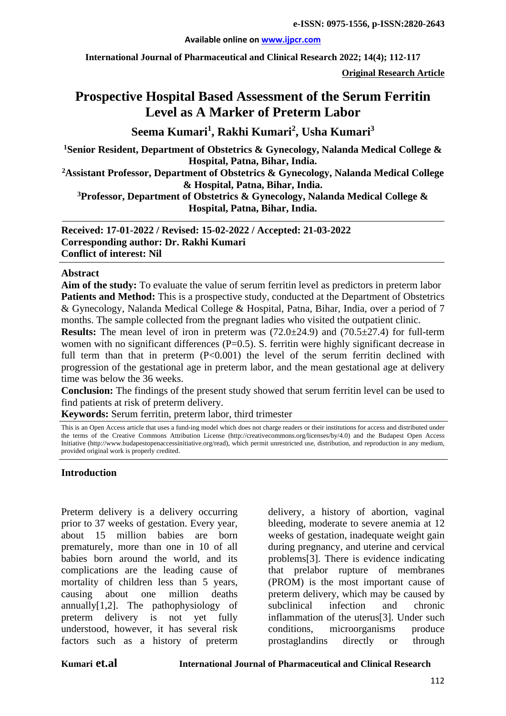#### **Available online on [www.ijpcr.com](http://www.ijpcr.com/)**

**International Journal of Pharmaceutical and Clinical Research 2022; 14(4); 112-117**

**Original Research Article**

# **Prospective Hospital Based Assessment of the Serum Ferritin Level as A Marker of Preterm Labor**

**Seema Kumari<sup>1</sup> , Rakhi Kumari<sup>2</sup> , Usha Kumari<sup>3</sup>**

**1 Senior Resident, Department of Obstetrics & Gynecology, Nalanda Medical College & Hospital, Patna, Bihar, India.**

**2 Assistant Professor, Department of Obstetrics & Gynecology, Nalanda Medical College & Hospital, Patna, Bihar, India.**

**3 Professor, Department of Obstetrics & Gynecology, Nalanda Medical College & Hospital, Patna, Bihar, India.**

**Received: 17-01-2022 / Revised: 15-02-2022 / Accepted: 21-03-2022 Corresponding author: Dr. Rakhi Kumari Conflict of interest: Nil**

#### **Abstract**

**Aim of the study:** To evaluate the value of serum ferritin level as predictors in preterm labor **Patients and Method:** This is a prospective study, conducted at the Department of Obstetrics & Gynecology, Nalanda Medical College & Hospital, Patna, Bihar, India, over a period of 7 months. The sample collected from the pregnant ladies who visited the outpatient clinic.

**Results:** The mean level of iron in preterm was (72.0 $\pm$ 24.9) and (70.5 $\pm$ 27.4) for full-term women with no significant differences (P=0.5). S. ferritin were highly significant decrease in full term than that in preterm (P<0.001) the level of the serum ferritin declined with progression of the gestational age in preterm labor, and the mean gestational age at delivery time was below the 36 weeks.

**Conclusion:** The findings of the present study showed that serum ferritin level can be used to find patients at risk of preterm delivery.

**Keywords:** Serum ferritin, preterm labor, third trimester

This is an Open Access article that uses a fund-ing model which does not charge readers or their institutions for access and distributed under the terms of the Creative Commons Attribution License (http://creativecommons.org/licenses/by/4.0) and the Budapest Open Access Initiative (http://www.budapestopenaccessinitiative.org/read), which permit unrestricted use, distribution, and reproduction in any medium, provided original work is properly credited.

#### **Introduction**

Preterm delivery is a delivery occurring prior to 37 weeks of gestation. Every year, about 15 million babies are born prematurely, more than one in 10 of all babies born around the world, and its complications are the leading cause of mortality of children less than 5 years, causing about one million deaths annually[1,2]. The pathophysiology of preterm delivery is not yet fully understood, however, it has several risk factors such as a history of preterm delivery, a history of abortion, vaginal bleeding, moderate to severe anemia at 12 weeks of gestation, inadequate weight gain during pregnancy, and uterine and cervical problems[3]. There is evidence indicating that prelabor rupture of membranes (PROM) is the most important cause of preterm delivery, which may be caused by subclinical infection and chronic inflammation of the uterus[3]. Under such conditions, microorganisms produce prostaglandins directly or through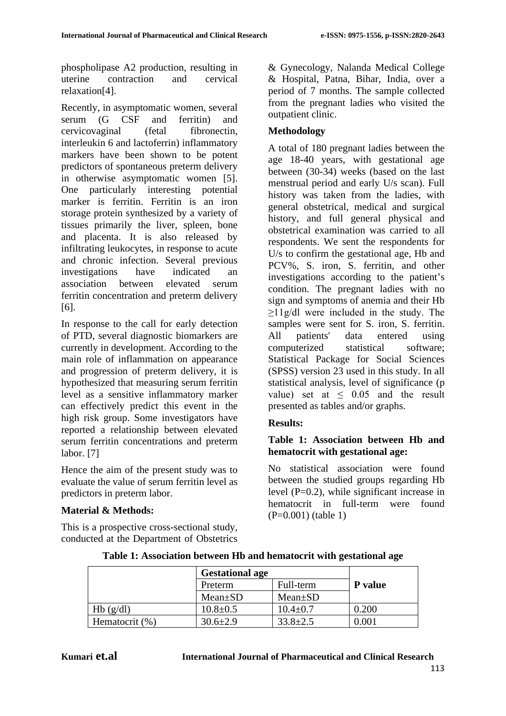phospholipase A2 production, resulting in uterine contraction and cervical relaxation[4].

Recently, in asymptomatic women, several serum (G CSF and ferritin) and cervicovaginal (fetal fibronectin, interleukin 6 and lactoferrin) inflammatory markers have been shown to be potent predictors of spontaneous preterm delivery in otherwise asymptomatic women [5]. One particularly interesting potential marker is ferritin. Ferritin is an iron storage protein synthesized by a variety of tissues primarily the liver, spleen, bone and placenta. It is also released by infiltrating leukocytes, in response to acute and chronic infection. Several previous investigations have indicated an association between elevated serum ferritin concentration and preterm delivery [6].

In response to the call for early detection of PTD, several diagnostic biomarkers are currently in development. According to the main role of inflammation on appearance and progression of preterm delivery, it is hypothesized that measuring serum ferritin level as a sensitive inflammatory marker can effectively predict this event in the high risk group. Some investigators have reported a relationship between elevated serum ferritin concentrations and preterm labor. [7]

Hence the aim of the present study was to evaluate the value of serum ferritin level as predictors in preterm labor.

# **Material & Methods:**

This is a prospective cross-sectional study, conducted at the Department of Obstetrics & Gynecology, Nalanda Medical College & Hospital, Patna, Bihar, India, over a period of 7 months. The sample collected from the pregnant ladies who visited the outpatient clinic.

# **Methodology**

A total of 180 pregnant ladies between the age 18-40 years, with gestational age between (30-34) weeks (based on the last menstrual period and early U/s scan). Full history was taken from the ladies, with general obstetrical, medical and surgical history, and full general physical and obstetrical examination was carried to all respondents. We sent the respondents for U/s to confirm the gestational age, Hb and PCV%, S. iron, S. ferritin, and other investigations according to the patient's condition. The pregnant ladies with no sign and symptoms of anemia and their Hb ≥11g/dl were included in the study. The samples were sent for S. iron, S. ferritin. All patients' data entered using computerized statistical software; Statistical Package for Social Sciences (SPSS) version 23 used in this study. In all statistical analysis, level of significance (p value) set at  $\leq 0.05$  and the result presented as tables and/or graphs.

# **Results:**

# **Table 1: Association between Hb and hematocrit with gestational age:**

No statistical association were found between the studied groups regarding Hb level  $(P=0.2)$ , while significant increase in hematocrit in full-term were found (P=0.001) (table 1)

|                | <b>Gestational age</b> |                |         |  |
|----------------|------------------------|----------------|---------|--|
|                | Preterm                | Full-term      | P value |  |
|                | $Mean \pm SD$          | $Mean \pm SD$  |         |  |
| Hb(g/dl)       | $10.8 \pm 0.5$         | $10.4 \pm 0.7$ | 0.200   |  |
| Hematocrit (%) | $30.6 \pm 2.9$         | $33.8 \pm 2.5$ | 0.001   |  |

#### **Table 1: Association between Hb and hematocrit with gestational age**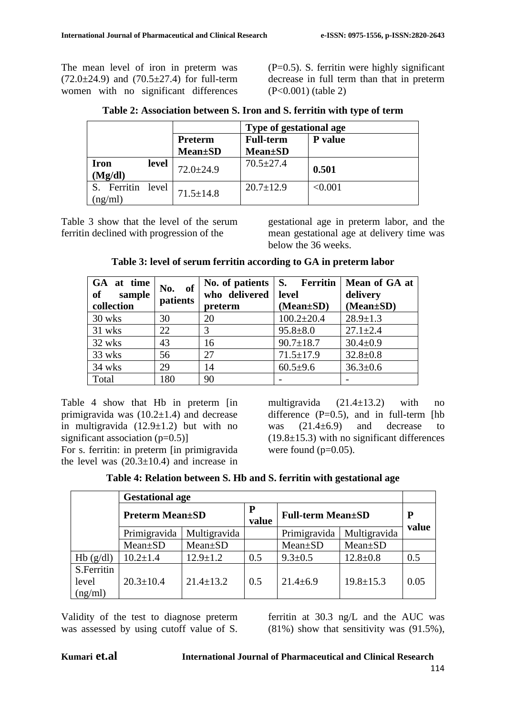The mean level of iron in preterm was  $(72.0 \pm 24.9)$  and  $(70.5 \pm 27.4)$  for full-term women with no significant differences  $(P=0.5)$ . S. ferritin were highly significant decrease in full term than that in preterm (P<0.001) (table 2)

|                           |       |                 | Type of gestational age |                |  |
|---------------------------|-------|-----------------|-------------------------|----------------|--|
|                           |       | Preterm         | <b>Full-term</b>        | <b>P</b> value |  |
|                           |       | <b>Mean</b> ±SD | <b>Mean</b> ±SD         |                |  |
| Iron<br>(Mg/dl)           | level | $72.0 \pm 24.9$ | $70.5 \pm 27.4$         | 0.501          |  |
| Ferritin level<br>(ng/ml) |       | $71.5 \pm 14.8$ | $20.7 \pm 12.9$         | < 0.001        |  |

**Table 2: Association between S. Iron and S. ferritin with type of term**

Table 3 show that the level of the serum ferritin declined with progression of the

gestational age in preterm labor, and the mean gestational age at delivery time was below the 36 weeks.

| GA at time<br>of<br>sample<br>collection | of<br>No.<br>patients | who delivered<br>preterm | level<br>$(Mean \pm SD)$ | No. of patients   S. Ferritin   Mean of GA at<br>delivery<br>$(Mean \pm SD)$ |
|------------------------------------------|-----------------------|--------------------------|--------------------------|------------------------------------------------------------------------------|
| 30 wks                                   | 30                    | 20                       | $100.2 \pm 20.4$         | $28.9 \pm 1.3$                                                               |
| 31 wks                                   | 22                    | 3                        | $95.8 \pm 8.0$           | $27.1 \pm 2.4$                                                               |
| 32 wks                                   | 43                    | 16                       | $90.7 \pm 18.7$          | $30.4 \pm 0.9$                                                               |
| 33 wks                                   | 56                    | 27                       | $71.5 \pm 17.9$          | $32.8 \pm 0.8$                                                               |
| 34 wks                                   | 29                    | 14                       | $60.5{\pm}9.6$           | $36.3 \pm 0.6$                                                               |
| Total                                    | 180                   | 90                       |                          |                                                                              |

## **Table 3: level of serum ferritin according to GA in preterm labor**

Table 4 show that Hb in preterm [in primigravida was  $(10.2 \pm 1.4)$  and decrease in multigravida  $(12.9\pm1.2)$  but with no significant association  $(p=0.5)$ ]

For s. ferritin: in preterm [in primigravida the level was  $(20.3 \pm 10.4)$  and increase in multigravida  $(21.4 \pm 13.2)$  with no difference  $(P=0.5)$ , and in full-term [hb] was  $(21.4\pm6.9)$  and decrease to  $(19.8\pm 15.3)$  with no significant differences were found  $(p=0.05)$ .

| Table 4: Relation between S. Hb and S. ferritin with gestational age |
|----------------------------------------------------------------------|
|----------------------------------------------------------------------|

|                                | <b>Gestational age</b> |                 |            |                          |                 |       |
|--------------------------------|------------------------|-----------------|------------|--------------------------|-----------------|-------|
|                                | <b>Preterm Mean±SD</b> |                 | P<br>value | <b>Full-term Mean±SD</b> | P               |       |
|                                | Primigravida           | Multigravida    |            | Primigravida             | Multigravida    | value |
|                                | $Mean \pm SD$          | $Mean \pm SD$   |            | $Mean \pm SD$            | $Mean \pm SD$   |       |
| Hb(g/dl)                       | $10.2 \pm 1.4$         | $12.9 \pm 1.2$  | 0.5        | $9.3 \pm 0.5$            | $12.8 \pm 0.8$  | 0.5   |
| S.Ferritin<br>level<br>(ng/ml) | $20.3 \pm 10.4$        | $21.4 \pm 13.2$ | 0.5        | $21.4 \pm 6.9$           | $19.8 \pm 15.3$ | 0.05  |

Validity of the test to diagnose preterm was assessed by using cutoff value of S.

ferritin at 30.3 ng/L and the AUC was (81%) show that sensitivity was (91.5%),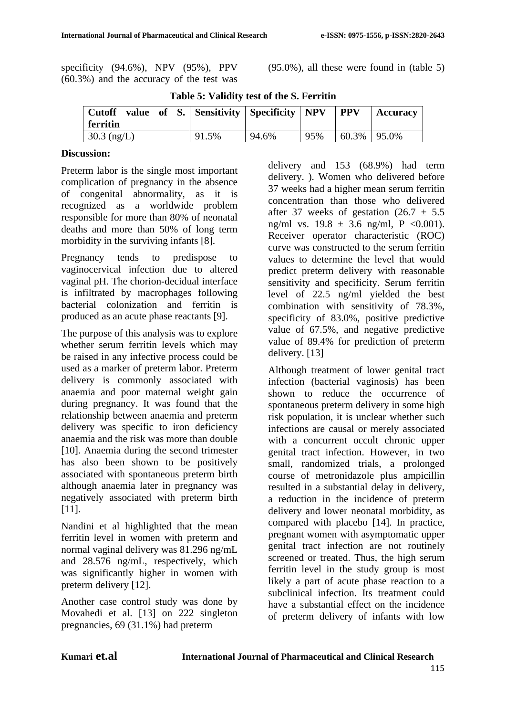specificity (94.6%), NPV (95%), PPV (60.3%) and the accuracy of the test was (95.0%), all these were found in (table 5)

| Cutoff value of S.   Sensitivity   Specificity   NPV<br>  ferritin |       |       |     | <b>PPV</b>       | Accuracy |
|--------------------------------------------------------------------|-------|-------|-----|------------------|----------|
| 30.3 $(ng/L)$                                                      | 91.5% | 94.6% | 95% | $60.3\%$   95.0% |          |

**Table 5: Validity test of the S. Ferritin**

## **Discussion:**

Preterm labor is the single most important complication of pregnancy in the absence of congenital abnormality, as it is recognized as a worldwide problem responsible for more than 80% of neonatal deaths and more than 50% of long term morbidity in the surviving infants [8].

Pregnancy tends to predispose to vaginocervical infection due to altered vaginal pH. The chorion-decidual interface is infiltrated by macrophages following bacterial colonization and ferritin is produced as an acute phase reactants [9].

The purpose of this analysis was to explore whether serum ferritin levels which may be raised in any infective process could be used as a marker of preterm labor. Preterm delivery is commonly associated with anaemia and poor maternal weight gain during pregnancy. It was found that the relationship between anaemia and preterm delivery was specific to iron deficiency anaemia and the risk was more than double [10]. Anaemia during the second trimester has also been shown to be positively associated with spontaneous preterm birth although anaemia later in pregnancy was negatively associated with preterm birth [11].

Nandini et al highlighted that the mean ferritin level in women with preterm and normal vaginal delivery was 81.296 ng/mL and 28.576 ng/mL, respectively, which was significantly higher in women with preterm delivery [12].

Another case control study was done by Movahedi et al. [13] on 222 singleton pregnancies, 69 (31.1%) had preterm

delivery and 153 (68.9%) had term delivery. ). Women who delivered before 37 weeks had a higher mean serum ferritin concentration than those who delivered after 37 weeks of gestation  $(26.7 \pm 5.5)$ ng/ml vs.  $19.8 \pm 3.6$  ng/ml, P < 0.001). Receiver operator characteristic (ROC) curve was constructed to the serum ferritin values to determine the level that would predict preterm delivery with reasonable sensitivity and specificity. Serum ferritin level of 22.5 ng/ml yielded the best combination with sensitivity of 78.3%, specificity of 83.0%, positive predictive value of 67.5%, and negative predictive value of 89.4% for prediction of preterm delivery. [13]

Although treatment of lower genital tract infection (bacterial vaginosis) has been shown to reduce the occurrence of spontaneous preterm delivery in some high risk population, it is unclear whether such infections are causal or merely associated with a concurrent occult chronic upper genital tract infection. However, in two small, randomized trials, a prolonged course of metronidazole plus ampicillin resulted in a substantial delay in delivery, a reduction in the incidence of preterm delivery and lower neonatal morbidity, as compared with placebo [14]. In practice, pregnant women with asymptomatic upper genital tract infection are not routinely screened or treated. Thus, the high serum ferritin level in the study group is most likely a part of acute phase reaction to a subclinical infection. Its treatment could have a substantial effect on the incidence of preterm delivery of infants with low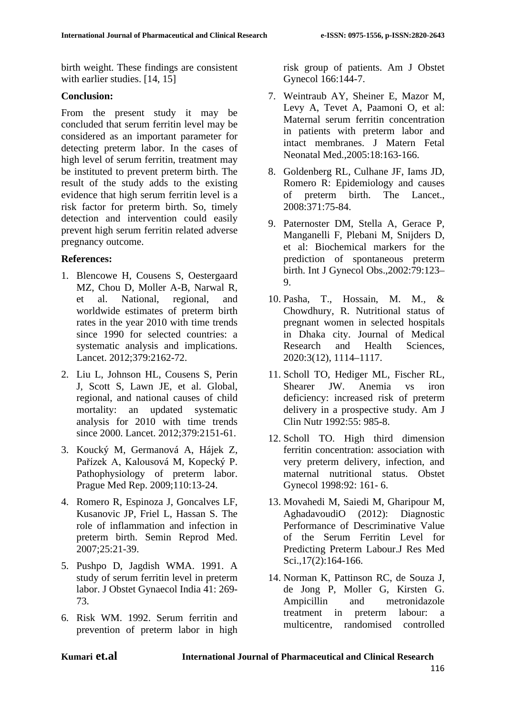birth weight. These findings are consistent with earlier studies. [14, 15]

#### **Conclusion:**

From the present study it may be concluded that serum ferritin level may be considered as an important parameter for detecting preterm labor. In the cases of high level of serum ferritin, treatment may be instituted to prevent preterm birth. The result of the study adds to the existing evidence that high serum ferritin level is a risk factor for preterm birth. So, timely detection and intervention could easily prevent high serum ferritin related adverse pregnancy outcome.

# **References:**

- 1. Blencowe H, Cousens S, Oestergaard MZ, Chou D, Moller A-B, Narwal R, et al. National, regional, and worldwide estimates of preterm birth rates in the year 2010 with time trends since 1990 for selected countries: a systematic analysis and implications. Lancet. 2012;379:2162-72.
- 2. Liu L, Johnson HL, Cousens S, Perin J, Scott S, Lawn JE, et al. Global, regional, and national causes of child mortality: an updated systematic analysis for 2010 with time trends since 2000. Lancet. 2012;379:2151-61.
- 3. Koucký M, Germanová A, Hájek Z, Pařízek A, Kalousová M, Kopecký P. Pathophysiology of preterm labor. Prague Med Rep. 2009;110:13-24.
- 4. Romero R, Espinoza J, Goncalves LF, Kusanovic JP, Friel L, Hassan S. The role of inflammation and infection in preterm birth. Semin Reprod Med. 2007;25:21-39.
- 5. Pushpo D, Jagdish WMA. 1991. A study of serum ferritin level in preterm labor. J Obstet Gynaecol India 41: 269- 73.
- 6. Risk WM. 1992. Serum ferritin and prevention of preterm labor in high

risk group of patients. Am J Obstet Gynecol 166:144-7.

- 7. Weintraub AY, Sheiner E, Mazor M, Levy A, Tevet A, Paamoni O, et al: Maternal serum ferritin concentration in patients with preterm labor and intact membranes. J Matern Fetal Neonatal Med.,2005:18:163-166.
- 8. Goldenberg RL, Culhane JF, Iams JD, Romero R: Epidemiology and causes of preterm birth. The Lancet., 2008:371:75-84.
- 9. Paternoster DM, Stella A, Gerace P, Manganelli F, Plebani M, Snijders D, et al: Biochemical markers for the prediction of spontaneous preterm birth. Int J Gynecol Obs.,2002:79:123– 9.
- 10. Pasha, T., Hossain, M. M., & Chowdhury, R. Nutritional status of pregnant women in selected hospitals in Dhaka city. Journal of Medical Research and Health Sciences, 2020:3(12), 1114–1117.
- 11. Scholl TO, Hediger ML, Fischer RL, Shearer JW. Anemia vs iron deficiency: increased risk of preterm delivery in a prospective study. Am J Clin Nutr 1992:55: 985-8.
- 12. Scholl TO. High third dimension ferritin concentration: association with very preterm delivery, infection, and maternal nutritional status. Obstet Gynecol 1998:92: 161- 6.
- 13. Movahedi M, Saiedi M, Gharipour M, AghadavoudiO (2012): Diagnostic Performance of Descriminative Value of the Serum Ferritin Level for Predicting Preterm Labour.J Res Med Sci.,17(2):164-166.
- 14. Norman K, Pattinson RC, de Souza J, de Jong P, Moller G, Kirsten G. Ampicillin and metronidazole treatment in preterm labour: a multicentre, randomised controlled